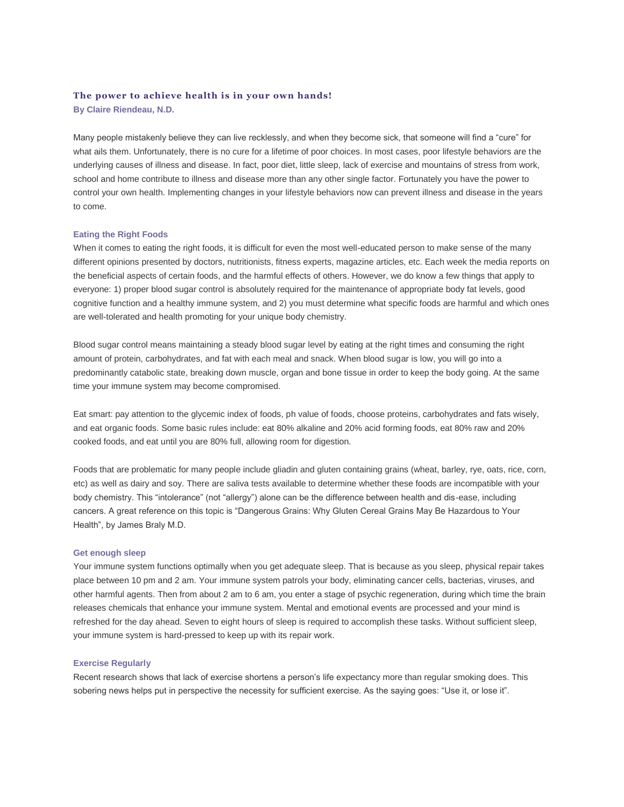# **The power to achieve health is in your own hands!**

**By Claire Riendeau, N.D.**

Many people mistakenly believe they can live recklessly, and when they become sick, that someone will find a "cure" for what ails them. Unfortunately, there is no cure for a lifetime of poor choices. In most cases, poor lifestyle behaviors are the underlying causes of illness and disease. In fact, poor diet, little sleep, lack of exercise and mountains of stress from work, school and home contribute to illness and disease more than any other single factor. Fortunately you have the power to control your own health. Implementing changes in your lifestyle behaviors now can prevent illness and disease in the years to come.

## **Eating the Right Foods**

When it comes to eating the right foods, it is difficult for even the most well-educated person to make sense of the many different opinions presented by doctors, nutritionists, fitness experts, magazine articles, etc. Each week the media reports on the beneficial aspects of certain foods, and the harmful effects of others. However, we do know a few things that apply to everyone: 1) proper blood sugar control is absolutely required for the maintenance of appropriate body fat levels, good cognitive function and a healthy immune system, and 2) you must determine what specific foods are harmful and which ones are well-tolerated and health promoting for your unique body chemistry.

Blood sugar control means maintaining a steady blood sugar level by eating at the right times and consuming the right amount of protein, carbohydrates, and fat with each meal and snack. When blood sugar is low, you will go into a predominantly catabolic state, breaking down muscle, organ and bone tissue in order to keep the body going. At the same time your immune system may become compromised.

Eat smart: pay attention to the glycemic index of foods, ph value of foods, choose proteins, carbohydrates and fats wisely, and eat organic foods. Some basic rules include: eat 80% alkaline and 20% acid forming foods, eat 80% raw and 20% cooked foods, and eat until you are 80% full, allowing room for digestion.

Foods that are problematic for many people include gliadin and gluten containing grains (wheat, barley, rye, oats, rice, corn, etc) as well as dairy and soy. There are saliva tests available to determine whether these foods are incompatible with your body chemistry. This "intolerance" (not "allergy") alone can be the difference between health and dis-ease, including cancers. A great reference on this topic is "Dangerous Grains: Why Gluten Cereal Grains May Be Hazardous to Your Health", by James Braly M.D.

### **Get enough sleep**

Your immune system functions optimally when you get adequate sleep. That is because as you sleep, physical repair takes place between 10 pm and 2 am. Your immune system patrols your body, eliminating cancer cells, bacterias, viruses, and other harmful agents. Then from about 2 am to 6 am, you enter a stage of psychic regeneration, during which time the brain releases chemicals that enhance your immune system. Mental and emotional events are processed and your mind is refreshed for the day ahead. Seven to eight hours of sleep is required to accomplish these tasks. Without sufficient sleep, your immune system is hard-pressed to keep up with its repair work.

### **Exercise Regularly**

Recent research shows that lack of exercise shortens a person's life expectancy more than regular smoking does. This sobering news helps put in perspective the necessity for sufficient exercise. As the saying goes: "Use it, or lose it".